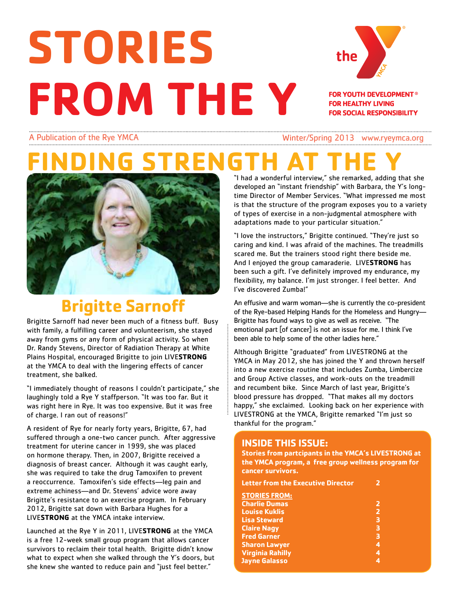# **STORIES FROM THE Y**



**FOR YOUTH DEVELOPMENT<sup>®</sup> FOR HEALTHY LIVING FOR SOCIAL RESPONSIBILITY** 

A Publication of the Rye YMCA Winter/Spring 2013 www.ryeymca.org

# **FINDING STRENGTH AT THE Y**



## **Brigitte Sarnoff**

Brigitte Sarnoff had never been much of a fitness buff. Busy with family, a fulfilling career and volunteerism, she stayed away from gyms or any form of physical activity. So when Dr. Randy Stevens, Director of Radiation Therapy at White Plains Hospital, encouraged Brigitte to join LIVE**STRONG** at the YMCA to deal with the lingering effects of cancer treatment, she balked.

"I immediately thought of reasons I couldn't participate," she laughingly told a Rye Y staffperson. "It was too far. But it was right here in Rye. It was too expensive. But it was free of charge. I ran out of reasons!"

A resident of Rye for nearly forty years, Brigitte, 67, had suffered through a one-two cancer punch. After aggressive treatment for uterine cancer in 1999, she was placed on hormone therapy. Then, in 2007, Brigitte received a diagnosis of breast cancer. Although it was caught early, she was required to take the drug Tamoxifen to prevent a reoccurrence. Tamoxifen's side effects—leg pain and extreme achiness—and Dr. Stevens' advice wore away Brigitte's resistance to an exercise program. In February 2012, Brigitte sat down with Barbara Hughes for a LIVE**STRONG** at the YMCA intake interview.

Launched at the Rye Y in 2011, LIVE**STRONG** at the YMCA is a free 12-week small group program that allows cancer survivors to reclaim their total health. Brigitte didn't know what to expect when she walked through the Y's doors, but she knew she wanted to reduce pain and "just feel better."

"I had a wonderful interview," she remarked, adding that she developed an "instant friendship" with Barbara, the Y's longtime Director of Member Services. "What impressed me most is that the structure of the program exposes you to a variety of types of exercise in a non-judgmental atmosphere with adaptations made to your particular situation."

"I love the instructors," Brigitte continued. "They're just so caring and kind. I was afraid of the machines. The treadmills scared me. But the trainers stood right there beside me. And I enjoyed the group camaraderie. LIVE**STRONG** has been such a gift. I've definitely improved my endurance, my flexibility, my balance. I'm just stronger. I feel better. And I've discovered Zumba!"

An effusive and warm woman—she is currently the co-president of the Rye-based Helping Hands for the Homeless and Hungry— Brigitte has found ways to give as well as receive. "The emotional part [of cancer] is not an issue for me. I think I've been able to help some of the other ladies here."

Although Brigitte "graduated" from LIVESTRONG at the YMCA in May 2012, she has joined the Y and thrown herself into a new exercise routine that includes Zumba, Limbercize and Group Active classes, and work-outs on the treadmill and recumbent bike. Since March of last year, Brigitte's blood pressure has dropped. "That makes all my doctors happy," she exclaimed. Looking back on her experience with LIVESTRONG at the YMCA, Brigitte remarked "I'm just so thankful for the program."

### **INSIDE THIS ISSUE:**

**Stories from partcipants in the YMCA's LIVESTRONG at the YMCA program, a free group wellness program for cancer survivors.** 

| <b>Letter from the Executive Director</b> |                         |
|-------------------------------------------|-------------------------|
| <b>STORIES FROM:</b>                      |                         |
| <b>Charlie Dumas</b>                      | 2                       |
| <b>Louise Kuklis</b>                      | $\overline{\mathbf{z}}$ |
| <b>Lisa Steward</b>                       | 3                       |
| <b>Claire Nagy</b>                        | 3                       |
| <b>Fred Garner</b>                        | $\overline{\mathbf{3}}$ |
| <b>Sharon Lawyer</b>                      | 4                       |
| <b>Virginia Rahilly</b>                   | 4                       |
| <b>Jayne Galasso</b>                      | 4                       |
|                                           |                         |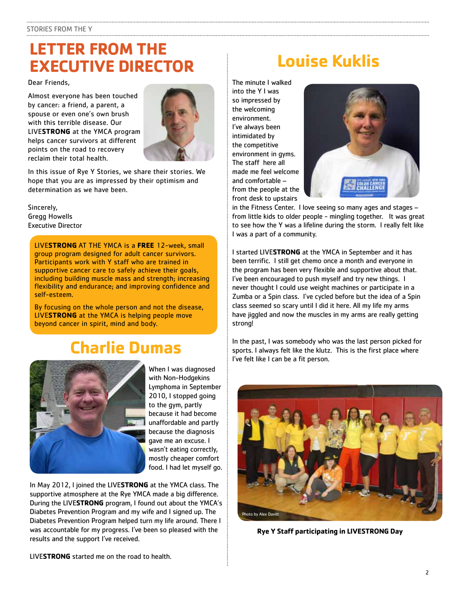### **LETTER FROM THE EXECUTIVE DIRECTOR Louise Kuklis**

Dear Friends,

Almost everyone has been touched by cancer: a friend, a parent, a spouse or even one's own brush with this terrible disease. Our LIVE**STRONG** at the YMCA program helps cancer survivors at different points on the road to recovery reclaim their total health.



In this issue of Rye Y Stories, we share their stories. We hope that you are as impressed by their optimism and determination as we have been.

### Sincerely, Gregg Howells Executive Director

LIVE**STRONG** AT THE YMCA is a **FREE** 12-week, small group program designed for adult cancer survivors. Participants work with Y staff who are trained in supportive cancer care to safely achieve their goals, including building muscle mass and strength; increasing flexibility and endurance; and improving confidence and self-esteem.

By focusing on the whole person and not the disease, LIVE**STRONG** at the YMCA is helping people move beyond cancer in spirit, mind and body.

### **Charlie Dumas**



When I was diagnosed with Non-Hodgekins Lymphoma in September 2010, I stopped going to the gym, partly because it had become unaffordable and partly because the diagnosis gave me an excuse. I wasn't eating correctly, mostly cheaper comfort food. I had let myself go.

In May 2012, I joined the LIVE**STRONG** at the YMCA class. The supportive atmosphere at the Rye YMCA made a big difference. During the LIVE**STRONG** program, I found out about the YMCA's Diabetes Prevention Program and my wife and I signed up. The Diabetes Prevention Program helped turn my life around. There I was accountable for my progress. I've been so pleased with the results and the support I've received.

The minute I walked into the Y I was so impressed by the welcoming environment. I've always been intimidated by the competitive environment in gyms. The staff here all made me feel welcome and comfortable – from the people at the front desk to upstairs



in the Fitness Center. I love seeing so many ages and stages – from little kids to older people - mingling together. It was great to see how the Y was a lifeline during the storm. I really felt like I was a part of a community.

I started LIVE**STRONG** at the YMCA in September and it has been terrific. I still get chemo once a month and everyone in the program has been very flexible and supportive about that. I've been encouraged to push myself and try new things. I never thought I could use weight machines or participate in a Zumba or a Spin class. I've cycled before but the idea of a Spin class seemed so scary until I did it here. All my life my arms have jiggled and now the muscles in my arms are really getting strong!

In the past, I was somebody who was the last person picked for sports. I always felt like the klutz. This is the first place where I've felt like I can be a fit person.



**Rye Y Staff participating in LIVESTRONG Day**

LIVE**STRONG** started me on the road to health.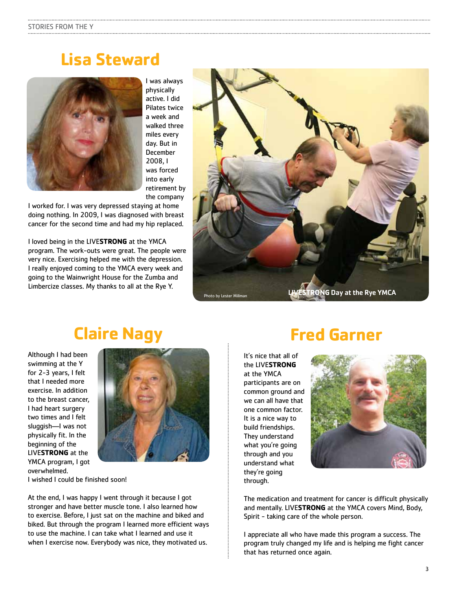### **Lisa Steward**



I was always physically active. I did Pilates twice a week and walked three miles every day. But in December 2008, I was forced into early retirement by the company

I worked for. I was very depressed staying at home doing nothing. In 2009, I was diagnosed with breast cancer for the second time and had my hip replaced.

I loved being in the LIVE**STRONG** at the YMCA program. The work-outs were great. The people were very nice. Exercising helped me with the depression. I really enjoyed coming to the YMCA every week and going to the Wainwright House for the Zumba and Limbercize classes. My thanks to all at the Rye Y.



### **Claire Nagy**

Although I had been swimming at the Y for 2-3 years, I felt that I needed more exercise. In addition to the breast cancer, I had heart surgery two times and I felt sluggish—I was not physically fit. In the beginning of the LIVE**STRONG** at the YMCA program, I got overwhelmed.



I wished I could be finished soon!

At the end, I was happy I went through it because I got stronger and have better muscle tone. I also learned how to exercise. Before, I just sat on the machine and biked and biked. But through the program I learned more efficient ways to use the machine. I can take what I learned and use it when I exercise now. Everybody was nice, they motivated us.

### **Fred Garner**

It's nice that all of the LIVE**STRONG** at the YMCA participants are on common ground and we can all have that one common factor. It is a nice way to build friendships. They understand what you're going through and you understand what they're going through.



The medication and treatment for cancer is difficult physically and mentally. LIVE**STRONG** at the YMCA covers Mind, Body, Spirit - taking care of the whole person.

I appreciate all who have made this program a success. The program truly changed my life and is helping me fight cancer that has returned once again.